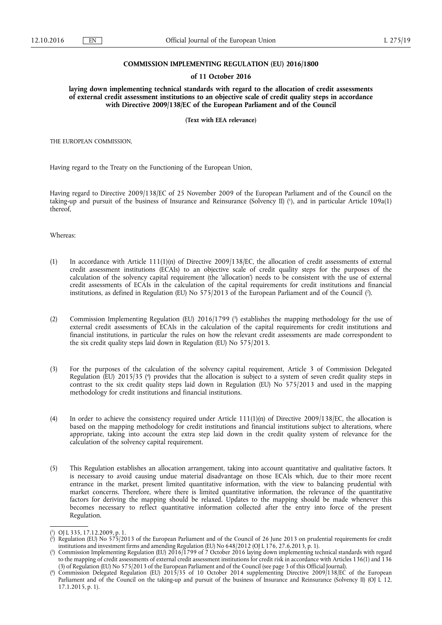## **COMMISSION IMPLEMENTING REGULATION (EU) 2016/1800**

## **of 11 October 2016**

**laying down implementing technical standards with regard to the allocation of credit assessments of external credit assessment institutions to an objective scale of credit quality steps in accordance with Directive 2009/138/EC of the European Parliament and of the Council** 

**(Text with EEA relevance)** 

THE EUROPEAN COMMISSION,

Having regard to the Treaty on the Functioning of the European Union,

Having regard to Directive 2009/138/EC of 25 November 2009 of the European Parliament and of the Council on the taking-up and pursuit of the business of Insurance and Reinsurance (Solvency II) ( 1 ), and in particular Article 109a(1) thereof,

Whereas:

- (1) In accordance with Article 111(1)(n) of Directive 2009/138/EC, the allocation of credit assessments of external credit assessment institutions (ECAIs) to an objective scale of credit quality steps for the purposes of the calculation of the solvency capital requirement (the 'allocation') needs to be consistent with the use of external credit assessments of ECAIs in the calculation of the capital requirements for credit institutions and financial institutions, as defined in Regulation (EU) No 575/2013 of the European Parliament and of the Council ( 2 ).
- (2) Commission Implementing Regulation (EU) 2016/1799 ( 3 ) establishes the mapping methodology for the use of external credit assessments of ECAIs in the calculation of the capital requirements for credit institutions and financial institutions, in particular the rules on how the relevant credit assessments are made correspondent to the six credit quality steps laid down in Regulation (EU) No 575/2013.
- (3) For the purposes of the calculation of the solvency capital requirement, Article 3 of Commission Delegated Regulation (EU) 2015/35 ( 4 ) provides that the allocation is subject to a system of seven credit quality steps in contrast to the six credit quality steps laid down in Regulation (EU) No 575/2013 and used in the mapping methodology for credit institutions and financial institutions.
- (4) In order to achieve the consistency required under Article  $111(1)(n)$  of Directive 2009/138/EC, the allocation is based on the mapping methodology for credit institutions and financial institutions subject to alterations, where appropriate, taking into account the extra step laid down in the credit quality system of relevance for the calculation of the solvency capital requirement.
- (5) This Regulation establishes an allocation arrangement, taking into account quantitative and qualitative factors. It is necessary to avoid causing undue material disadvantage on those ECAIs which, due to their more recent entrance in the market, present limited quantitative information, with the view to balancing prudential with market concerns. Therefore, where there is limited quantitative information, the relevance of the quantitative factors for deriving the mapping should be relaxed. Updates to the mapping should be made whenever this becomes necessary to reflect quantitative information collected after the entry into force of the present Regulation.

<sup>(</sup> 1 ) OJ L 335, 17.12.2009, p. 1.

<sup>(</sup> 2 ) Regulation (EU) No 575/2013 of the European Parliament and of the Council of 26 June 2013 on prudential requirements for credit institutions and investment firms and amending Regulation (EU) No 648/2012 (OJ L 176, 27.6.2013, p. 1).

<sup>(</sup> 3 ) Commission Implementing Regulation (EU) 2016/1799 of 7 October 2016 laying down implementing technical standards with regard to the mapping of credit assessments of external credit assessment institutions for credit risk in accordance with Articles 136(1) and 136 (3) of Regulation (EU) No 575/2013 of the European Parliament and of the Council (see page 3 of this Official Journal).

<sup>(</sup> 4 ) Commission Delegated Regulation (EU) 2015/35 of 10 October 2014 supplementing Directive 2009/138/EC of the European Parliament and of the Council on the taking-up and pursuit of the business of Insurance and Reinsurance (Solvency II) (OJ L 12, 17.1.2015, p. 1).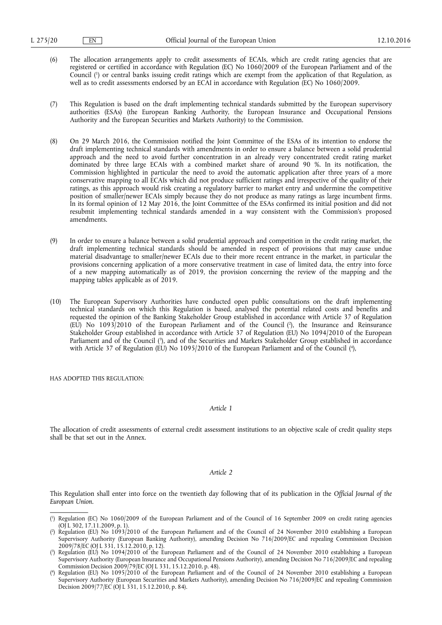- (6) The allocation arrangements apply to credit assessments of ECAIs, which are credit rating agencies that are registered or certified in accordance with Regulation (EC) No 1060/2009 of the European Parliament and of the Council ( 1 ) or central banks issuing credit ratings which are exempt from the application of that Regulation, as well as to credit assessments endorsed by an ECAI in accordance with Regulation (EC) No 1060/2009.
- (7) This Regulation is based on the draft implementing technical standards submitted by the European supervisory authorities (ESAs) (the European Banking Authority, the European Insurance and Occupational Pensions Authority and the European Securities and Markets Authority) to the Commission.
- (8) On 29 March 2016, the Commission notified the Joint Committee of the ESAs of its intention to endorse the draft implementing technical standards with amendments in order to ensure a balance between a solid prudential approach and the need to avoid further concentration in an already very concentrated credit rating market dominated by three large ECAIs with a combined market share of around 90 %. In its notification, the Commission highlighted in particular the need to avoid the automatic application after three years of a more conservative mapping to all ECAIs which did not produce sufficient ratings and irrespective of the quality of their ratings, as this approach would risk creating a regulatory barrier to market entry and undermine the competitive position of smaller/newer ECAIs simply because they do not produce as many ratings as large incumbent firms. In its formal opinion of 12 May 2016, the Joint Committee of the ESAs confirmed its initial position and did not resubmit implementing technical standards amended in a way consistent with the Commission's proposed amendments.
- (9) In order to ensure a balance between a solid prudential approach and competition in the credit rating market, the draft implementing technical standards should be amended in respect of provisions that may cause undue material disadvantage to smaller/newer ECAIs due to their more recent entrance in the market, in particular the provisions concerning application of a more conservative treatment in case of limited data, the entry into force of a new mapping automatically as of 2019, the provision concerning the review of the mapping and the mapping tables applicable as of 2019.
- (10) The European Supervisory Authorities have conducted open public consultations on the draft implementing technical standards on which this Regulation is based, analysed the potential related costs and benefits and requested the opinion of the Banking Stakeholder Group established in accordance with Article 37 of Regulation (EU) No 1093/2010 of the European Parliament and of the Council ( 2 ), the Insurance and Reinsurance Stakeholder Group established in accordance with Article 37 of Regulation (EU) No 1094/2010 of the European Parliament and of the Council (<sup>3</sup>), and of the Securities and Markets Stakeholder Group established in accordance with Article 37 of Regulation (EU) No 1095/2010 of the European Parliament and of the Council (\*),

HAS ADOPTED THIS REGULATION:

# *Article 1*

The allocation of credit assessments of external credit assessment institutions to an objective scale of credit quality steps shall be that set out in the Annex.

#### *Article 2*

This Regulation shall enter into force on the twentieth day following that of its publication in the *Official Journal of the European Union*.

<sup>(</sup> 1 ) Regulation (EC) No 1060/2009 of the European Parliament and of the Council of 16 September 2009 on credit rating agencies (OJ L 302, 17.11.2009, p. 1).

<sup>(</sup> 2 ) Regulation (EU) No 1093/2010 of the European Parliament and of the Council of 24 November 2010 establishing a European Supervisory Authority (European Banking Authority), amending Decision No 716/2009/EC and repealing Commission Decision 2009/78/EC (OJ L 331, 15.12.2010, p. 12).

<sup>(</sup> 3 ) Regulation (EU) No 1094/2010 of the European Parliament and of the Council of 24 November 2010 establishing a European Supervisory Authority (European Insurance and Occupational Pensions Authority), amending Decision No 716/2009/EC and repealing Commission Decision 2009/79/EC (OJ L 331, 15.12.2010, p. 48).

<sup>(</sup> 4 ) Regulation (EU) No 1095/2010 of the European Parliament and of the Council of 24 November 2010 establishing a European Supervisory Authority (European Securities and Markets Authority), amending Decision No 716/2009/EC and repealing Commission Decision 2009/77/EC (OJ L 331, 15.12.2010, p. 84).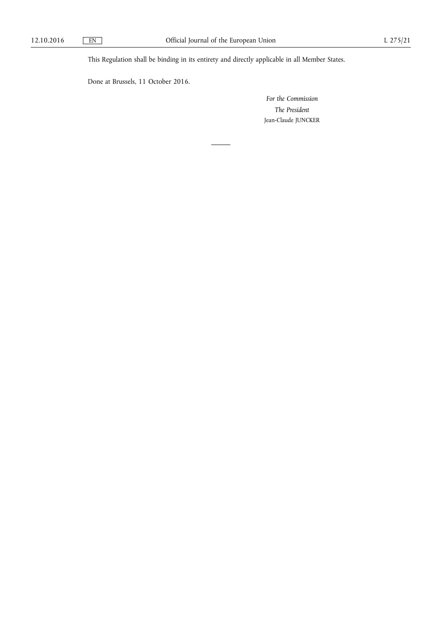This Regulation shall be binding in its entirety and directly applicable in all Member States.

Done at Brussels, 11 October 2016.

*For the Commission The President*  Jean-Claude JUNCKER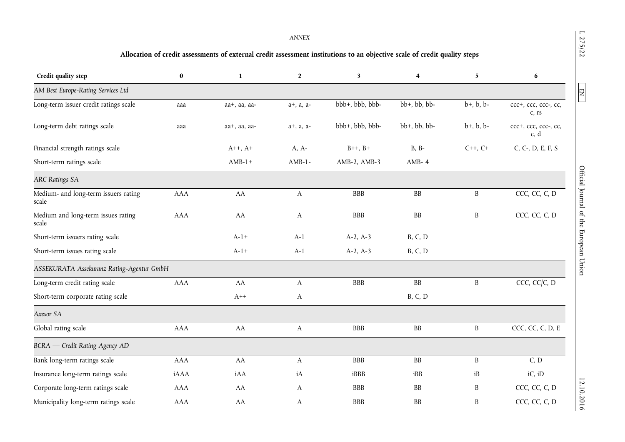$L 275/22$ 

 $EN$ 

# **Allocation of credit assessments of external credit assessment institutions to an objective scale of credit quality steps**

| Credit quality step                           | $\bf{0}$   | $\mathbf{1}$       | $\mathbf{2}$ | 3               | 4                    | 5                  | 6                             |
|-----------------------------------------------|------------|--------------------|--------------|-----------------|----------------------|--------------------|-------------------------------|
| AM Best Europe-Rating Services Ltd            |            |                    |              |                 |                      |                    |                               |
| Long-term issuer credit ratings scale         | aaa        | aa+, aa, aa-       | a+, a, a-    | bbb+, bbb, bbb- | bb+, bb, bb-         | $b+, b, b$ -       | ccc+, ccc, ccc-, cc,<br>c, rs |
| Long-term debt ratings scale                  | aaa        | aa+, aa, aa-       | a+, a, a-    | bbb+, bbb, bbb- | $bb+$ , $bb$ , $bb-$ | $b+, b, b$ -       | ccc+, ccc, ccc-, cc,<br>c, d  |
| Financial strength ratings scale              |            | $A^{++}$ , $A^{+}$ | $A, A-$      | $B++, B+$       | $B, B-$              | $C_{++}$ , $C_{+}$ | C, C-, D, E, F, S             |
| Short-term ratings scale                      |            | $AMB-1+$           | $AMB-1-$     | AMB-2, AMB-3    | AMB-4                |                    |                               |
| <b>ARC Ratings SA</b>                         |            |                    |              |                 |                      |                    |                               |
| Medium- and long-term issuers rating<br>scale | <b>AAA</b> | AA                 | A            | <b>BBB</b>      | BB                   | $\, {\bf B}$       | CCC, CC, C, D                 |
| Medium and long-term issues rating<br>scale   | AAA        | AA                 | A            | <b>BBB</b>      | ${\bf BB}$           | B                  | CCC, CC, C, D                 |
| Short-term issuers rating scale               |            | $A-1+$             | $A-1$        | $A-2, A-3$      | <b>B</b> , C, D      |                    |                               |
| Short-term issues rating scale                |            | $A-1+$             | $A-1$        | $A-2, A-3$      | <b>B</b> , C, D      |                    |                               |
| ASSEKURATA Assekuranz Rating-Agentur GmbH     |            |                    |              |                 |                      |                    |                               |
| Long-term credit rating scale                 | <b>AAA</b> | AA                 | A            | <b>BBB</b>      | BB                   | $\, {\bf B}$       | CCC, CC/C, D                  |
| Short-term corporate rating scale             |            | $A++$              | A            |                 | <b>B</b> , C, D      |                    |                               |
| Axesor SA                                     |            |                    |              |                 |                      |                    |                               |
| Global rating scale                           | AAA        | AA                 | $\mathbf{A}$ | BBB             | ${\bf BB}$           | $\, {\bf B}$       | CCC, CC, C, D, E              |
| BCRA - Credit Rating Agency AD                |            |                    |              |                 |                      |                    |                               |
| Bank long-term ratings scale                  | <b>AAA</b> | AA                 | A            | <b>BBB</b>      | BB                   | $\, {\bf B}$       | C, D                          |
| Insurance long-term ratings scale             | iAAA       | iAA                | iA           | iBBB            | iBB                  | iB                 | iC, iD                        |
| Corporate long-term ratings scale             | <b>AAA</b> | AA                 | A            | <b>BBB</b>      | <b>BB</b>            | $\boldsymbol{B}$   | CCC, CC, C, D                 |
| Municipality long-term ratings scale          | AAA        | AA                 | A            | <b>BBB</b>      | <b>BB</b>            | B                  | CCC, CC, C, D                 |

 $1275/22$   $\Box$  EN  $\Box$  EN  $\Box$  EN  $\Box$  D13.10.2016 Difficial Journal of the European Union EN  $\Box$  EN  $\Box$  D13.10.2016 Official Journal of the European Union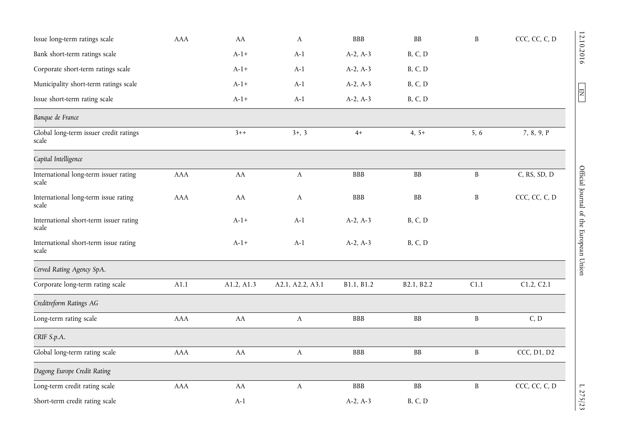| Issue long-term ratings scale                   | <b>AAA</b> | AA         | $\mathbf{A}$          | <b>BBB</b> | <b>BB</b>       | B            | CCC, CC, C, D |
|-------------------------------------------------|------------|------------|-----------------------|------------|-----------------|--------------|---------------|
| Bank short-term ratings scale                   |            | $A-1+$     | $A-1$                 | $A-2, A-3$ | B, C, D         |              |               |
| Corporate short-term ratings scale              |            | $A-1+$     | $A-1$                 | $A-2, A-3$ | <b>B</b> , C, D |              |               |
| Municipality short-term ratings scale           |            | $A-1+$     | $A-1$                 | $A-2, A-3$ | <b>B</b> , C, D |              |               |
| Issue short-term rating scale                   |            | $A-1+$     | $A-1$                 | $A-2, A-3$ | B, C, D         |              |               |
| Banque de France                                |            |            |                       |            |                 |              |               |
| Global long-term issuer credit ratings<br>scale |            | $3 + +$    | $3+, 3$               | $4+$       | $4, 5+$         | 5, 6         | 7, 8, 9, P    |
| Capital Intelligence                            |            |            |                       |            |                 |              |               |
| International long-term issuer rating<br>scale  | <b>AAA</b> | AA         | $\mathbf{A}$          | <b>BBB</b> | $\rm BB$        | $\, {\bf B}$ | C, RS, SD, D  |
| International long-term issue rating<br>scale   | <b>AAA</b> | AA         | A                     | <b>BBB</b> | B               | B            | CCC, CC, C, D |
| International short-term issuer rating<br>scale |            | $A-1+$     | $A-1$                 | $A-2, A-3$ | <b>B</b> , C, D |              |               |
| International short-term issue rating<br>scale  |            | $A-1+$     | $A-1$                 | $A-2, A-3$ | B, C, D         |              |               |
| Cerved Rating Agency SpA.                       |            |            |                       |            |                 |              |               |
| Corporate long-term rating scale                | A1.1       | A1.2, A1.3 | A2.1, A2.2, A3.1      | B1.1, B1.2 | B2.1, B2.2      | C1.1         | C1.2, C2.1    |
| Creditreform Ratings AG                         |            |            |                       |            |                 |              |               |
| Long-term rating scale                          | AAA        | ${\rm AA}$ | $\boldsymbol{\rm{A}}$ | <b>BBB</b> | $\rm BB$        | $\, {\bf B}$ | C, D          |
| CRIF S.p.A.                                     |            |            |                       |            |                 |              |               |
| Global long-term rating scale                   | AAA        | AA         | A                     | BBB        | BB              | $\, {\bf B}$ | CCC, D1, D2   |
| Dagong Europe Credit Rating                     |            |            |                       |            |                 |              |               |
| Long-term credit rating scale                   | <b>AAA</b> | AA         | $\boldsymbol{A}$      | <b>BBB</b> | $\rm BB$        | $\, {\bf B}$ | CCC, CC, C, D |
| Short-term credit rating scale                  |            | $A-1$      |                       | $A-2, A-3$ | B, C, D         |              |               |

12.10.2016 L  $\overline{E}$   $\overline{E}$   $\overline{E}$   $\overline{E}$   $\overline{E}$   $\overline{E}$   $\overline{E}$   $\overline{E}$   $\overline{E}$   $\overline{E}$   $\overline{E}$   $\overline{E}$   $\overline{E}$   $\overline{E}$   $\overline{E}$   $\overline{E}$   $\overline{E}$   $\overline{E}$   $\overline{E}$   $\overline{E}$   $\overline{E}$   $\overline{E}$   $\overline{E}$  Official Journal of the European Union

12.10.2016

 $\boxed{\text{EN}}$ 

 $1.275/23$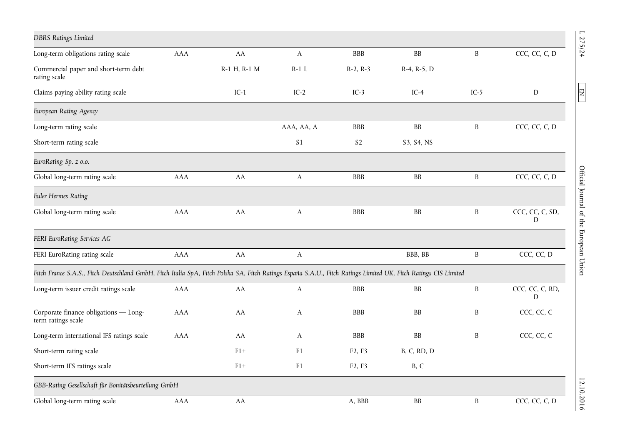| <b>DBRS Ratings Limited</b>                                                                                                                                      |            |              |              |                                 |                        |              |                      |
|------------------------------------------------------------------------------------------------------------------------------------------------------------------|------------|--------------|--------------|---------------------------------|------------------------|--------------|----------------------|
| Long-term obligations rating scale                                                                                                                               | <b>AAA</b> | AA           | $\mathbf{A}$ | <b>BBB</b>                      | $\mathbf{B}\mathbf{B}$ | $\, {\bf B}$ | CCC, CC, C, D        |
| Commercial paper and short-term debt<br>rating scale                                                                                                             |            | R-1 H, R-1 M | $R-1$ L      | $R-2, R-3$                      | R-4, R-5, D            |              |                      |
| Claims paying ability rating scale                                                                                                                               |            | $IC-1$       | $IC-2$       | $IC-3$                          | $IC-4$                 | $IC-5$       | D                    |
| European Rating Agency                                                                                                                                           |            |              |              |                                 |                        |              |                      |
| Long-term rating scale                                                                                                                                           |            |              | AAA, AA, A   | <b>BBB</b>                      | $\mathbf{B}\mathbf{B}$ | $\mathbf B$  | CCC, CC, C, D        |
| Short-term rating scale                                                                                                                                          |            |              | S1           | S <sub>2</sub>                  | S3, S4, NS             |              |                      |
| EuroRating Sp. z o.o.                                                                                                                                            |            |              |              |                                 |                        |              |                      |
| Global long-term rating scale                                                                                                                                    | <b>AAA</b> | AA           | $\mathbf{A}$ | <b>BBB</b>                      | BB                     | $\mathbf B$  | CCC, CC, C, D        |
| <b>Euler Hermes Rating</b>                                                                                                                                       |            |              |              |                                 |                        |              |                      |
| Global long-term rating scale                                                                                                                                    | <b>AAA</b> | AA           | $\mathbf{A}$ | <b>BBB</b>                      | ${\bf BB}$             | $\, {\bf B}$ | CCC, CC, C, SD,<br>D |
| FERI EuroRating Services AG                                                                                                                                      |            |              |              |                                 |                        |              |                      |
| FERI EuroRating rating scale                                                                                                                                     | <b>AAA</b> | AA           | $\mathbf{A}$ |                                 | BBB, BB                | $\, {\bf B}$ | CCC, CC, D           |
| Fitch France S.A.S., Fitch Deutschland GmbH, Fitch Italia SpA, Fitch Polska SA, Fitch Ratings España S.A.U., Fitch Ratings Limited UK, Fitch Ratings CIS Limited |            |              |              |                                 |                        |              |                      |
| Long-term issuer credit ratings scale                                                                                                                            | <b>AAA</b> | AA           | A            | <b>BBB</b>                      | <b>BB</b>              | B            | CCC, CC, C, RD,<br>D |
| Corporate finance obligations - Long-<br>term ratings scale                                                                                                      | AAA        | AA           | A            | <b>BBB</b>                      | ${\bf BB}$             | B            | CCC, CC, C           |
| Long-term international IFS ratings scale                                                                                                                        | AAA        | AA           | A            | <b>BBB</b>                      | ${\bf BB}$             | $\, {\bf B}$ | CCC, CC, C           |
| Short-term rating scale                                                                                                                                          |            | $F1+$        | F1           | F <sub>2</sub> , F <sub>3</sub> | B, C, RD, D            |              |                      |
| Short-term IFS ratings scale                                                                                                                                     |            | $F1+$        | F1           | F2, F3                          | B, C                   |              |                      |
| GBB-Rating Gesellschaft für Bonitätsbeurteilung GmbH                                                                                                             |            |              |              |                                 |                        |              |                      |
| Global long-term rating scale                                                                                                                                    | <b>AAA</b> | AA           |              | A, BBB                          | ${\rm BB}$             | $\, {\bf B}$ | CCC, CC, C, D        |

 $1275/24$   $\blacksquare$  EN  $\blacksquare$  EN  $\blacksquare$ Official Journal of the European Union

 $L \, 275/24$ 

 $\boxed{\text{EN}}$ 

12.10.2016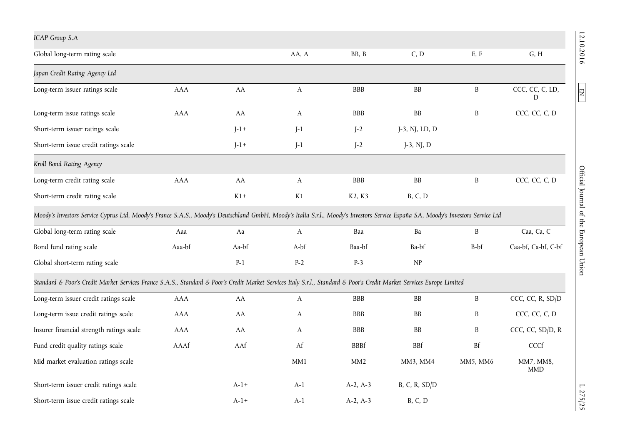| <b>ICAP Group S.A</b>                                                                                                                                                            |            |        |              |             |                                 |              |                         |
|----------------------------------------------------------------------------------------------------------------------------------------------------------------------------------|------------|--------|--------------|-------------|---------------------------------|--------------|-------------------------|
| Global long-term rating scale                                                                                                                                                    |            |        | AA, A        | BB, B       | C, D                            | E, F         | G, H                    |
| Japan Credit Rating Agency Ltd                                                                                                                                                   |            |        |              |             |                                 |              |                         |
| Long-term issuer ratings scale                                                                                                                                                   | <b>AAA</b> | AA     | $\mathbf{A}$ | <b>BBB</b>  | $\rm BB$                        | $\, {\bf B}$ | CCC, CC, C, LD,<br>D    |
| Long-term issue ratings scale                                                                                                                                                    | <b>AAA</b> | AA     | $\mathbf{A}$ | <b>BBB</b>  | $\rm BB$                        | $\, {\bf B}$ | CCC, CC, C, D           |
| Short-term issuer ratings scale                                                                                                                                                  |            | $J-1+$ | $J-1$        | $J-2$       | J-3, NJ, LD, D                  |              |                         |
| Short-term issue credit ratings scale                                                                                                                                            |            | $J-1+$ | $J-1$        | $J-2$       | $J-3$ , NJ, D                   |              |                         |
| Kroll Bond Rating Agency                                                                                                                                                         |            |        |              |             |                                 |              |                         |
| Long-term credit rating scale                                                                                                                                                    | AAA        | AA     | $\mathbf{A}$ | <b>BBB</b>  | $\rm BB$                        | $\, {\bf B}$ | CCC, CC, C, D           |
| Short-term credit rating scale                                                                                                                                                   |            | $K1+$  | K1           | K2, K3      | <b>B</b> , C, D                 |              |                         |
| Moody's Investors Service Cyprus Ltd, Moody's France S.A.S., Moody's Deutschland GmbH, Moody's Italia S.r.l., Moody's Investors Service España SA, Moody's Investors Service Ltd |            |        |              |             |                                 |              |                         |
| Global long-term rating scale                                                                                                                                                    | Aaa        | Aa     | $\mathbf{A}$ | Baa         | Ba                              | $\mathbf{B}$ | Caa, Ca, C              |
| Bond fund rating scale                                                                                                                                                           | Aaa-bf     | Aa-bf  | A-bf         | Baa-bf      | Ba-bf                           | B-bf         | Caa-bf, Ca-bf, C-bf     |
| Global short-term rating scale                                                                                                                                                   |            | $P-1$  | $P-2$        | $P-3$       | $\ensuremath{\text{NP}}\xspace$ |              |                         |
| Standard & Poor's Credit Market Services France S.A.S., Standard & Poor's Credit Market Services Italy S.r.l., Standard & Poor's Credit Market Services Europe Limited           |            |        |              |             |                                 |              |                         |
| Long-term issuer credit ratings scale                                                                                                                                            | AAA        | AA     | A            | <b>BBB</b>  | <b>BB</b>                       | $\mathbf{B}$ | CCC, CC, R, SD/D        |
| Long-term issue credit ratings scale                                                                                                                                             | <b>AAA</b> | AA     | A            | <b>BBB</b>  | ${\bf BB}$                      | $\, {\bf B}$ | CCC, CC, C, D           |
| Insurer financial strength ratings scale                                                                                                                                         | AAA        | AA     | A            | <b>BBB</b>  | <b>BB</b>                       | B            | CCC, CC, SD/D, R        |
| Fund credit quality ratings scale                                                                                                                                                | AAAf       | AAf    | Af           | <b>BBBf</b> | <b>BBf</b>                      | Bf           | CCCf                    |
| Mid market evaluation ratings scale                                                                                                                                              |            |        | MM1          | MM2         | MM3, MM4                        | MM5, MM6     | MM7, MM8,<br><b>MMD</b> |
| Short-term issuer credit ratings scale                                                                                                                                           |            | $A-1+$ | $A-1$        | $A-2, A-3$  | B, C, R, SD/D                   |              |                         |
| Short-term issue credit ratings scale                                                                                                                                            |            | $A-1+$ | $A-1$        | $A-2, A-3$  | B, C, D                         |              |                         |

12.10.2016 L  $\overline{E}$  EN  $\overline{E}$  EN  $\overline{E}$  EV  $\overline{E}$  EV  $\overline{E}$  EV  $\overline{E}$  EV  $\overline{E}$  EV  $\overline{E}$  EV  $\overline{E}$  EV  $\overline{E}$  EV  $\overline{E}$  EV  $\overline{E}$  EV  $\overline{E}$  EV  $\overline{E}$  EV  $\overline{E}$  EV  $\overline{E}$  EV  $\overline{E}$  EV  $\overline$ Official Journal of the European Union

12.10.2016

 $\boxed{\text{EN}}$ 

 $L$  275/25